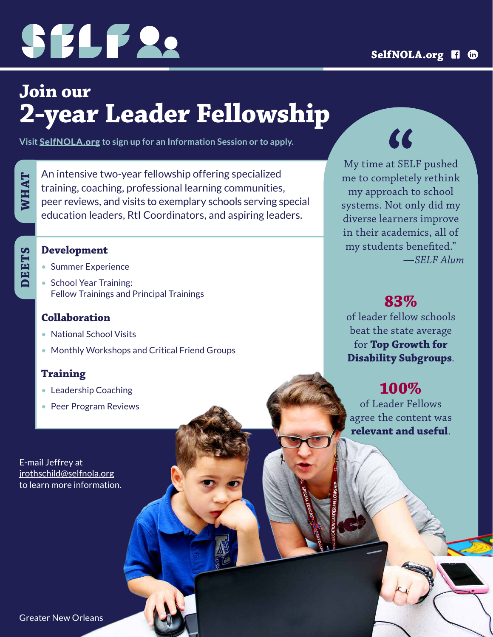

## **Join our 2-year Leader Fellowship**

**Visit [SelfNOLA.org](https://www.selfnola.org/programs/leadership-fellowship) to sign up for an Information Session or to apply.**

**WHAT**

An intensive two-year fellowship offering specialized training, coaching, professional learning communities, peer reviews, and visits to exemplary schools serving special education leaders, RtI Coordinators, and aspiring leaders.

## **DEETS**

#### **Development**

- Summer Experience
- School Year Training: Fellow Trainings and Principal Trainings

#### **Collaboration**

- National School Visits
- Monthly Workshops and Critical Friend Groups

#### **Training**

- Leadership Coaching
- Peer Program Reviews

E-mail Jeffrey at [jrothschild@selfnola.org](mailto:jrothschild%40selfnola.org?subject=) to learn more information.  $\alpha$ 

My time at SELF pushed me to completely rethink my approach to school systems. Not only did my diverse learners improve in their academics, all of my students benefited." *—SELF Alum*

#### **83%**

of leader fellow schools beat the state average for **Top Growth for Disability Subgroups**.

### **100%**

of Leader Fellows agree the content was **relevant and useful**.

Greater New Orleans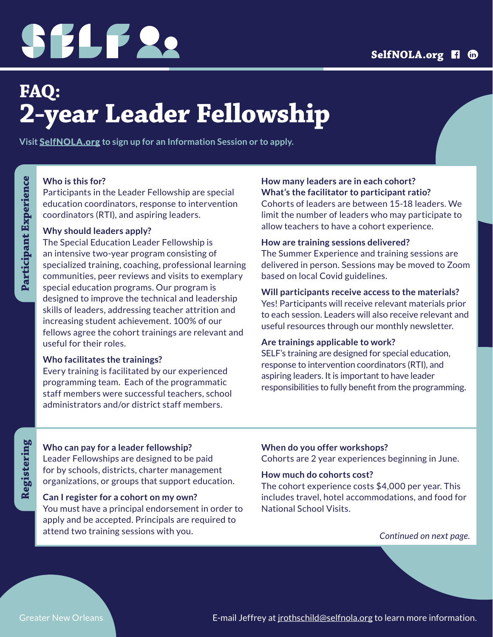# SELF 22

## **FAQ: 2-year Leader Fellowship**

**Visit [SelfNOLA.org](https://www.selfnola.org/programs/leadership-fellowship) to sign up for an Information Session or to apply.**

#### **Who is this for?**

Participants in the Leader Fellowship are special education coordinators, response to intervention coordinators (RTI), and aspiring leaders.

#### **Why should leaders apply?**

The Special Education Leader Fellowship is an intensive two-year program consisting of specialized training, coaching, professional learning communities, peer reviews and visits to exemplary special education programs. Our program is designed to improve the technical and leadership skills of leaders, addressing teacher attrition and increasing student achievement. 100% of our fellows agree the cohort trainings are relevant and useful for their roles.

#### **Who facilitates the trainings?**

Every training is facilitated by our experienced programming team. Each of the programmatic staff members were successful teachers, school administrators and/or district staff members.

#### **How many leaders are in each cohort? What's the facilitator to participant ratio?**

Cohorts of leaders are between 15-18 leaders. We limit the number of leaders who may participate to allow teachers to have a cohort experience.

#### **How are training sessions delivered?**

The Summer Experience and training sessions are delivered in person. Sessions may be moved to Zoom based on local Covid guidelines.

#### **Will participants receive access to the materials?**

Yes! Participants will receive relevant materials prior to each session. Leaders will also receive relevant and useful resources through our monthly newsletter.

#### **Are trainings applicable to work?**

SELF's training are designed for special education, response to intervention coordinators (RTI), and aspiring leaders. It is important to have leader responsibilities to fully benefit from the programming.

## Registering **Registering**

#### **Who can pay for a leader fellowship?**

Leader Fellowships are designed to be paid for by schools, districts, charter management organizations, or groups that support education.

#### **Can I register for a cohort on my own?**

You must have a principal endorsement in order to apply and be accepted. Principals are required to attend two training sessions with you.

#### **When do you offer workshops?**

Cohorts are 2 year experiences beginning in June.

#### **How much do cohorts cost?**

The cohort experience costs \$4,000 per year. This includes travel, hotel accommodations, and food for National School Visits.

*Continued on next page.*